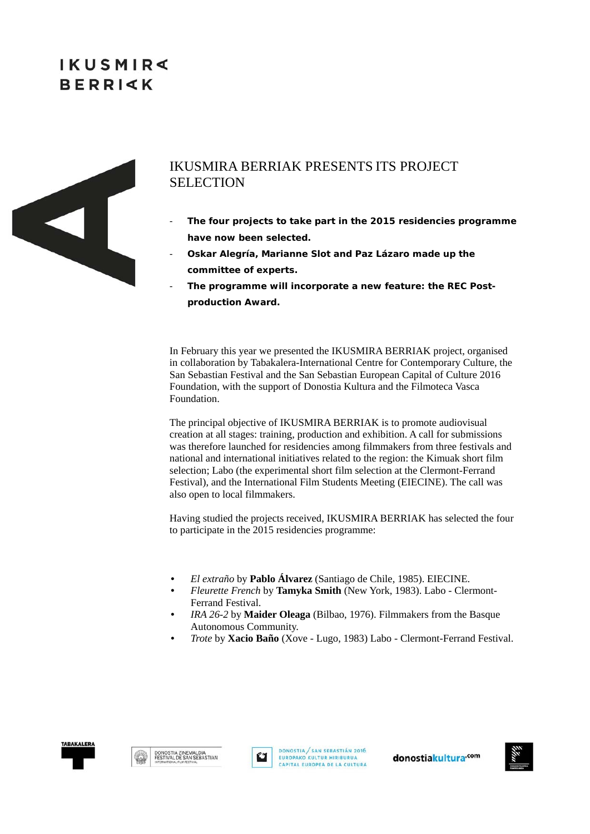# **IKUSMIR BERRIKK**



### IKUSMIRA BERRIAK PRESENTS ITS PROJECT **SELECTION**

- **The four projects to take part in the 2015 residencies programme have now been selected.**
- **Oskar Alegría, Marianne Slot and Paz Lázaro made up the committee of experts.**
- The programme will incorporate a new feature: the REC Post**production Award.**

In February this year we presented the IKUSMIRA BERRIAK project, organised in collaboration by Tabakalera-International Centre for Contemporary Culture, the San Sebastian Festival and the San Sebastian European Capital of Culture 2016 Foundation, with the support of Donostia Kultura and the Filmoteca Vasca Foundation.

The principal objective of IKUSMIRA BERRIAK is to promote audiovisual creation at all stages: training, production and exhibition. A call for submissions was therefore launched for residencies among filmmakers from three festivals and national and international initiatives related to the region: the Kimuak short film selection; Labo (the experimental short film selection at the Clermont-Ferrand Festival), and the International Film Students Meeting (EIECINE). The call was also open to local filmmakers.

Having studied the projects received, IKUSMIRA BERRIAK has selected the four to participate in the 2015 residencies programme:

- *El extraño* by **Pablo Álvarez** (Santiago de Chile, 1985). EIECINE.
- *Fleurette French* by **Tamyka Smith** (New York, 1983). Labo Clermont-Ferrand Festival.
- *IRA 26-2* by **Maider Oleaga** (Bilbao, 1976). Filmmakers from the Basque Autonomous Community.
- *Trote* by **Xacio Baño** (Xove Lugo, 1983) Labo Clermont-Ferrand Festival.







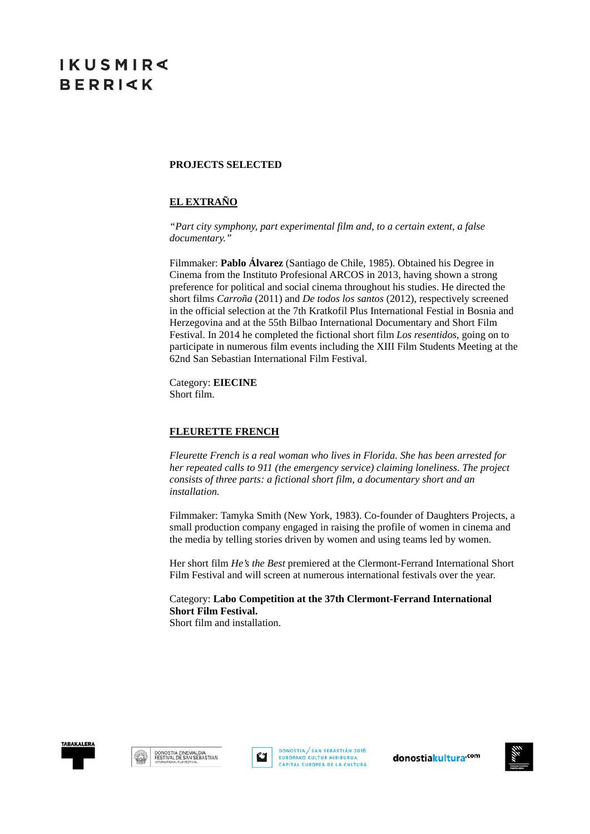### **PROJECTS SELECTED**

### **EL EXTRAÑO**

*"Part city symphony, part experimental film and, to a certain extent, a false documentary."* 

Filmmaker: **Pablo Álvarez** (Santiago de Chile, 1985). Obtained his Degree in Cinema from the Instituto Profesional ARCOS in 2013, having shown a strong preference for political and social cinema throughout his studies. He directed the short films *Carroña* (2011) and *De todos los santos* (2012), respectively screened in the official selection at the 7th Kratkofil Plus International Festial in Bosnia and Herzegovina and at the 55th Bilbao International Documentary and Short Film Festival. In 2014 he completed the fictional short film *Los resentidos*, going on to participate in numerous film events including the XIII Film Students Meeting at the 62nd San Sebastian International Film Festival.

Category: **EIECINE** Short film.

#### **FLEURETTE FRENCH**

*Fleurette French is a real woman who lives in Florida. She has been arrested for her repeated calls to 911 (the emergency service) claiming loneliness. The project consists of three parts: a fictional short film, a documentary short and an installation.* 

Filmmaker: Tamyka Smith (New York, 1983). Co-founder of Daughters Projects, a small production company engaged in raising the profile of women in cinema and the media by telling stories driven by women and using teams led by women.

Her short film *He's the Best* premiered at the Clermont-Ferrand International Short Film Festival and will screen at numerous international festivals over the year.

Category: **Labo Competition at the 37th Clermont-Ferrand International Short Film Festival.** Short film and installation.







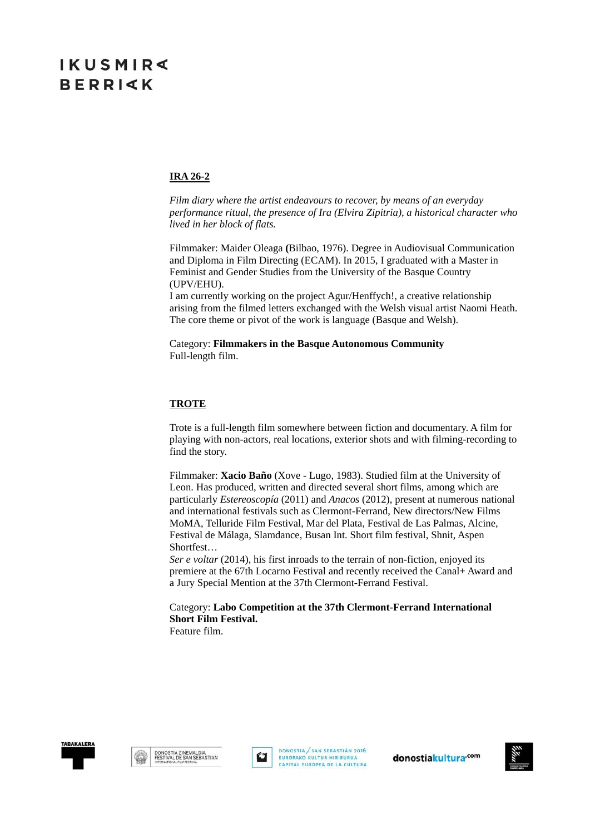#### **IRA 26-2**

*Film diary where the artist endeavours to recover, by means of an everyday performance ritual, the presence of Ira (Elvira Zipitria), a historical character who lived in her block of flats.* 

Filmmaker: Maider Oleaga **(**Bilbao, 1976). Degree in Audiovisual Communication and Diploma in Film Directing (ECAM). In 2015, I graduated with a Master in Feminist and Gender Studies from the University of the Basque Country (UPV/EHU).

I am currently working on the project Agur/Henffych!, a creative relationship arising from the filmed letters exchanged with the Welsh visual artist Naomi Heath. The core theme or pivot of the work is language (Basque and Welsh).

Category: **Filmmakers in the Basque Autonomous Community** Full-length film.

#### **TROTE**

Trote is a full-length film somewhere between fiction and documentary. A film for playing with non-actors, real locations, exterior shots and with filming-recording to find the story.

Filmmaker: **Xacio Baño** (Xove - Lugo, 1983). Studied film at the University of Leon. Has produced, written and directed several short films, among which are particularly *Estereoscopía* (2011) and *Anacos* (2012), present at numerous national and international festivals such as Clermont-Ferrand, New directors/New Films MoMA, Telluride Film Festival, Mar del Plata, Festival de Las Palmas, Alcine, Festival de Málaga, Slamdance, Busan Int. Short film festival, Shnit, Aspen Shortfest…

*Ser e voltar* (2014), his first inroads to the terrain of non-fiction, enjoyed its premiere at the 67th Locarno Festival and recently received the Canal+ Award and a Jury Special Mention at the 37th Clermont-Ferrand Festival.

Category: **Labo Competition at the 37th Clermont-Ferrand International Short Film Festival.**

Feature film.







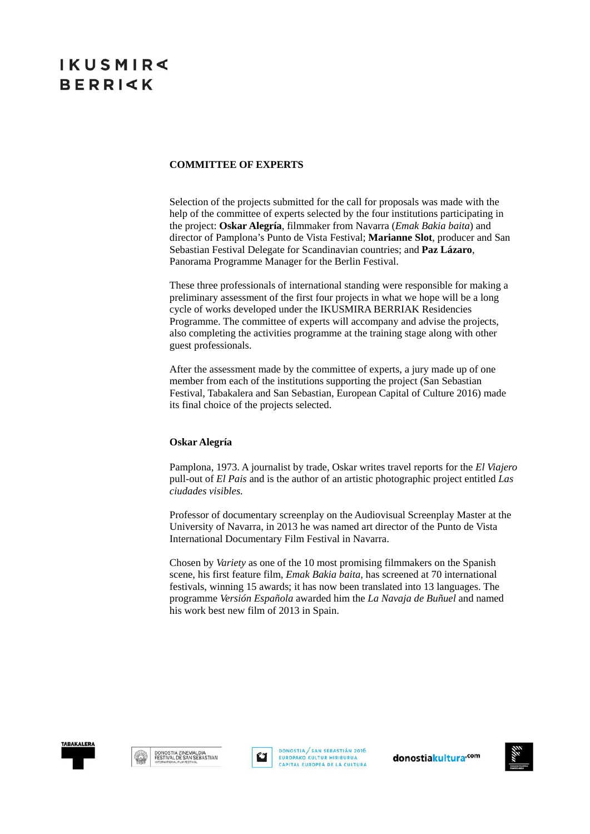# **IKUSMIR BERRIKK**

### **COMMITTEE OF EXPERTS**

Selection of the projects submitted for the call for proposals was made with the help of the committee of experts selected by the four institutions participating in the project: **Oskar Alegría**, filmmaker from Navarra (*Emak Bakia baita*) and director of Pamplona's Punto de Vista Festival; **Marianne Slot**, producer and San Sebastian Festival Delegate for Scandinavian countries; and **Paz Lázaro**, Panorama Programme Manager for the Berlin Festival.

These three professionals of international standing were responsible for making a preliminary assessment of the first four projects in what we hope will be a long cycle of works developed under the IKUSMIRA BERRIAK Residencies Programme. The committee of experts will accompany and advise the projects, also completing the activities programme at the training stage along with other guest professionals.

After the assessment made by the committee of experts, a jury made up of one member from each of the institutions supporting the project (San Sebastian Festival, Tabakalera and San Sebastian, European Capital of Culture 2016) made its final choice of the projects selected.

#### **Oskar Alegría**

Pamplona, 1973. A journalist by trade, Oskar writes travel reports for the *El Viajero*  pull-out of *El Pais* and is the author of an artistic photographic project entitled *Las ciudades visibles.* 

Professor of documentary screenplay on the Audiovisual Screenplay Master at the University of Navarra, in 2013 he was named art director of the Punto de Vista International Documentary Film Festival in Navarra.

Chosen by *Variety* as one of the 10 most promising filmmakers on the Spanish scene, his first feature film, *Emak Bakia baita*, has screened at 70 international festivals, winning 15 awards; it has now been translated into 13 languages. The programme *Versión Española* awarded him the *La Navaja de Buñuel* and named his work best new film of 2013 in Spain.







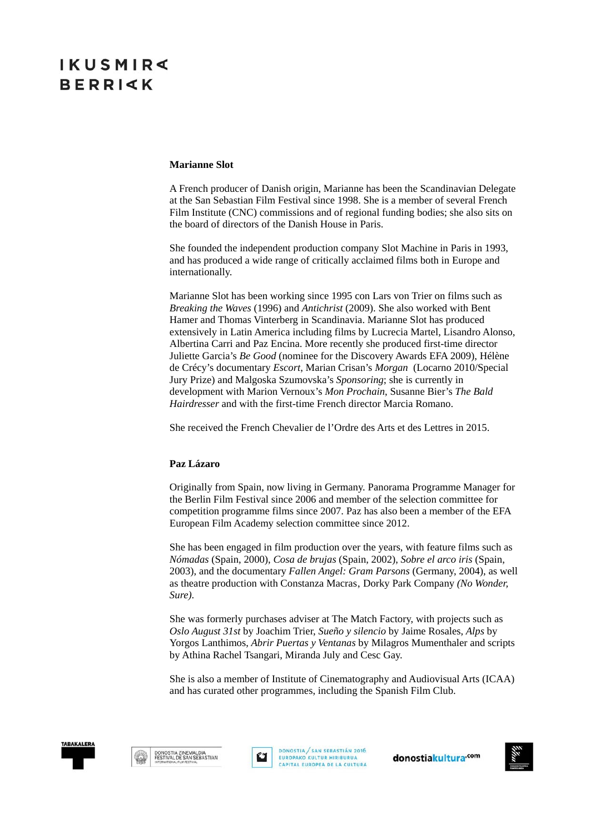# **IKUSMIR BERRIKK**

#### **Marianne Slot**

A French producer of Danish origin, Marianne has been the Scandinavian Delegate at the San Sebastian Film Festival since 1998. She is a member of several French Film Institute (CNC) commissions and of regional funding bodies; she also sits on the board of directors of the Danish House in Paris.

She founded the independent production company Slot Machine in Paris in 1993, and has produced a wide range of critically acclaimed films both in Europe and internationally.

Marianne Slot has been working since 1995 con Lars von Trier on films such as *Breaking the Waves* (1996) and *Antichrist* (2009). She also worked with Bent Hamer and Thomas Vinterberg in Scandinavia. Marianne Slot has produced extensively in Latin America including films by Lucrecia Martel, Lisandro Alonso, Albertina Carri and Paz Encina. More recently she produced first-time director Juliette Garcia's *Be Good* (nominee for the Discovery Awards EFA 2009), Hélène de Crécy's documentary *Escort*, Marian Crisan's *Morgan* (Locarno 2010/Special Jury Prize) and Malgoska Szumovska's *Sponsoring*; she is currently in development with Marion Vernoux's *Mon Prochain*, Susanne Bier's *The Bald Hairdresser* and with the first-time French director Marcia Romano.

She received the French Chevalier de l'Ordre des Arts et des Lettres in 2015.

#### **Paz Lázaro**

Originally from Spain, now living in Germany. Panorama Programme Manager for the Berlin Film Festival since 2006 and member of the selection committee for competition programme films since 2007. Paz has also been a member of the EFA European Film Academy selection committee since 2012.

She has been engaged in film production over the years, with feature films such as *Nómadas* (Spain, 2000), *Cosa de brujas* (Spain, 2002), *Sobre el arco iris* (Spain, 2003), and the documentary *Fallen Angel: Gram Parsons* (Germany, 2004), as well as theatre production with Constanza Macras' Dorky Park Company *(No Wonder, Sure)*.

She was formerly purchases adviser at The Match Factory, with projects such as *Oslo August 31st* by Joachim Trier, *Sueño y silencio* by Jaime Rosales, *Alps* by Yorgos Lanthimos, *Abrir Puertas y Ventanas* by Milagros Mumenthaler and scripts by Athina Rachel Tsangari, Miranda July and Cesc Gay.

She is also a member of Institute of Cinematography and Audiovisual Arts (ICAA) and has curated other programmes, including the Spanish Film Club.





DONOSTIA / SAN SEBASTIÁN 2016 EUROPAKO KULTUR HIRIBURUA CAPITAL EUROPEA DE LA CULTURA